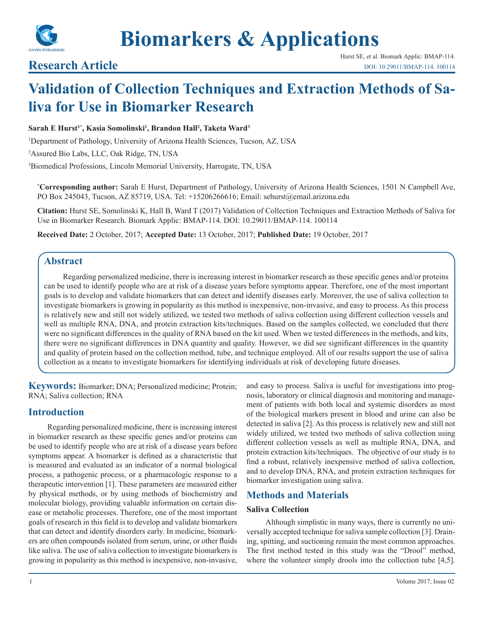

**Biomarkers & Applications**

## **Research Article**

# **Validation of Collection Techniques and Extraction Methods of Saliva for Use in Biomarker Research**

#### $\boldsymbol{\mathrm{Sarah}}$  **E** Hurst<sup>1\*</sup>, Kasia Somolinski<sup>1</sup>, Brandon Hall<sup>2</sup>, Taketa Ward<sup>3</sup>

1 Department of Pathology, University of Arizona Health Sciences, Tucson, AZ, USA

2 Assured Bio Labs, LLC, Oak Ridge, TN, USA

3 Biomedical Professions, Lincoln Memorial University, Harrogate, TN, USA

**\* Corresponding author:** Sarah E Hurst, Department of Pathology, University of Arizona Health Sciences, 1501 N Campbell Ave, PO Box 245043, Tucson, AZ 85719, USA. Tel: +15206266616; Email: sehurst@email.arizona.edu

**Citation:** Hurst SE, Somolinski K, Hall B, Ward T (2017) Validation of Collection Techniques and Extraction Methods of Saliva for Use in Biomarker Research. Biomark Applic: BMAP-114. DOI: 10.29011/BMAP-114. 100114

**Received Date:** 2 October, 2017; **Accepted Date:** 13 October, 2017; **Published Date:** 19 October, 2017

### **Abstract**

Regarding personalized medicine, there is increasing interest in biomarker research as these specific genes and/or proteins can be used to identify people who are at risk of a disease years before symptoms appear. Therefore, one of the most important goals is to develop and validate biomarkers that can detect and identify diseases early. Moreover, the use of saliva collection to investigate biomarkers is growing in popularity as this method is inexpensive, non-invasive, and easy to process. As this process is relatively new and still not widely utilized, we tested two methods of saliva collection using different collection vessels and well as multiple RNA, DNA, and protein extraction kits/techniques. Based on the samples collected, we concluded that there were no significant differences in the quality of RNA based on the kit used. When we tested differences in the methods, and kits, there were no significant differences in DNA quantity and quality. However, we did see significant differences in the quantity and quality of protein based on the collection method, tube, and technique employed. All of our results support the use of saliva collection as a means to investigate biomarkers for identifying individuals at risk of developing future diseases.

**Keywords:** Biomarker; DNA; Personalized medicine; Protein; RNA; Saliva collection; RNA

## **Introduction**

Regarding personalized medicine, there is increasing interest in biomarker research as these specific genes and/or proteins can be used to identify people who are at risk of a disease years before symptoms appear. A biomarker is defined as a characteristic that is measured and evaluated as an indicator of a normal biological process, a pathogenic process, or a pharmacologic response to a therapeutic intervention [1]. These parameters are measured either by physical methods, or by using methods of biochemistry and molecular biology, providing valuable information on certain disease or metabolic processes. Therefore, one of the most important goals of research in this field is to develop and validate biomarkers that can detect and identify disorders early. In medicine, biomarkers are often compounds isolated from serum, urine, or other fluids like saliva. The use of saliva collection to investigate biomarkers is growing in popularity as this method is inexpensive, non-invasive,

and easy to process. Saliva is useful for investigations into prognosis, laboratory or clinical diagnosis and monitoring and management of patients with both local and systemic disorders as most of the biological markers present in blood and urine can also be detected in saliva [2]. As this process is relatively new and still not widely utilized, we tested two methods of saliva collection using different collection vessels as well as multiple RNA, DNA, and protein extraction kits/techniques. The objective of our study is to find a robust, relatively inexpensive method of saliva collection, and to develop DNA, RNA, and protein extraction techniques for biomarker investigation using saliva.

## **Methods and Materials**

#### **Saliva Collection**

Although simplistic in many ways, there is currently no universally accepted technique for saliva sample collection [3]. Draining, spitting, and suctioning remain the most common approaches. The first method tested in this study was the "Drool" method, where the volunteer simply drools into the collection tube [4,5].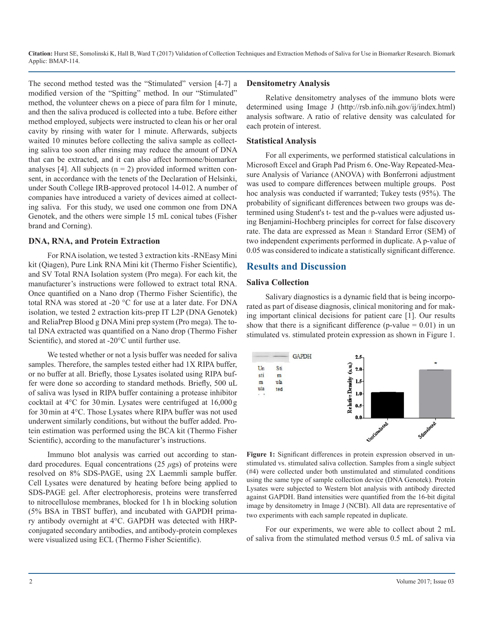**Citation:** Hurst SE, Somolinski K, Hall B, Ward T (2017) Validation of Collection Techniques and Extraction Methods of Saliva for Use in Biomarker Research. Biomark Applic: BMAP-114.

The second method tested was the "Stimulated" version [4-7] a modified version of the "Spitting" method. In our "Stimulated" method, the volunteer chews on a piece of para film for 1 minute, and then the saliva produced is collected into a tube. Before either method employed, subjects were instructed to clean his or her oral cavity by rinsing with water for 1 minute. Afterwards, subjects waited 10 minutes before collecting the saliva sample as collecting saliva too soon after rinsing may reduce the amount of DNA that can be extracted, and it can also affect hormone/biomarker analyses [4]. All subjects  $(n = 2)$  provided informed written consent, in accordance with the tenets of the Declaration of Helsinki, under South College IRB-approved protocol 14-012. A number of companies have introduced a variety of devices aimed at collecting saliva. For this study, we used one common one from DNA Genotek, and the others were simple 15 mL conical tubes (Fisher brand and Corning).

#### **DNA, RNA, and Protein Extraction**

For RNA isolation, we tested 3 extraction kits -RNEasy Mini kit (Qiagen), Pure Link RNA Mini kit (Thermo Fisher Scientific), and SV Total RNA Isolation system (Pro mega). For each kit, the manufacturer's instructions were followed to extract total RNA. Once quantified on a Nano drop (Thermo Fisher Scientific), the total RNA was stored at -20 °C for use at a later date. For DNA isolation, we tested 2 extraction kits-prep IT L2P (DNA Genotek) and ReliaPrep Blood g DNA Mini prep system (Pro mega). The total DNA extracted was quantified on a Nano drop (Thermo Fisher Scientific), and stored at -20°C until further use.

We tested whether or not a lysis buffer was needed for saliva samples. Therefore, the samples tested either had 1X RIPA buffer, or no buffer at all. Briefly, those Lysates isolated using RIPA buffer were done so according to standard methods. Briefly, 500 uL of saliva was lysed in RIPA buffer containing a protease inhibitor cocktail at 4°C for 30min. Lysates were centrifuged at 16,000g for 30min at 4°C. Those Lysates where RIPA buffer was not used underwent similarly conditions, but without the buffer added. Protein estimation was performed using the BCA kit (Thermo Fisher Scientific), according to the manufacturer's instructions.

Immuno blot analysis was carried out according to standard procedures. Equal concentrations (25 *μ*gs) of proteins were resolved on 8% SDS-PAGE, using 2X Laemmli sample buffer. Cell Lysates were denatured by heating before being applied to SDS-PAGE gel. After electrophoresis, proteins were transferred to nitrocellulose membranes, blocked for 1 h in blocking solution (5% BSA in TBST buffer), and incubated with GAPDH primary antibody overnight at 4°C. GAPDH was detected with HRPconjugated secondary antibodies, and antibody-protein complexes were visualized using ECL (Thermo Fisher Scientific).

#### **Densitometry Analysis**

Relative densitometry analyses of the immuno blots were determined using Image J (http://rsb.info.nih.gov/ij/index.html) analysis software. A ratio of relative density was calculated for each protein of interest.

#### **Statistical Analysis**

For all experiments, we performed statistical calculations in Microsoft Excel and Graph Pad Prism 6. One-Way Repeated-Measure Analysis of Variance (ANOVA) with Bonferroni adjustment was used to compare differences between multiple groups. Post hoc analysis was conducted if warranted; Tukey tests (95%). The probability of significant differences between two groups was determined using Student's t- test and the p-values were adjusted using Benjamini-Hochberg principles for correct for false discovery rate. The data are expressed as Mean  $\pm$  Standard Error (SEM) of two independent experiments performed in duplicate. A p-value of 0.05 was considered to indicate a statistically significant difference.

## **Results and Discussion**

#### **Saliva Collection**

Salivary diagnostics is a dynamic field that is being incorporated as part of disease diagnosis, clinical monitoring and for making important clinical decisions for patient care [1]. Our results show that there is a significant difference (p-value  $= 0.01$ ) in un stimulated vs. stimulated protein expression as shown in Figure 1.



**Figure 1:** Significant differences in protein expression observed in unstimulated vs. stimulated saliva collection. Samples from a single subject (#4) were collected under both unstimulated and stimulated conditions using the same type of sample collection device (DNA Genotek). Protein Lysates were subjected to Western blot analysis with antibody directed against GAPDH. Band intensities were quantified from the 16-bit digital image by densitometry in Image J (NCBI). All data are representative of two experiments with each sample repeated in duplicate.

For our experiments, we were able to collect about 2 mL of saliva from the stimulated method versus 0.5 mL of saliva via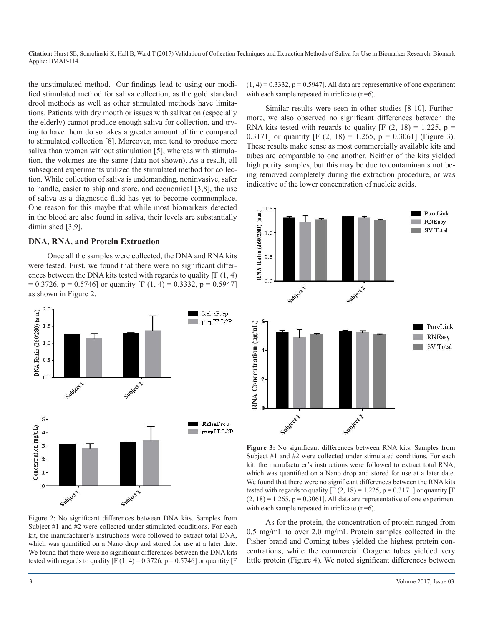**Citation:** Hurst SE, Somolinski K, Hall B, Ward T (2017) Validation of Collection Techniques and Extraction Methods of Saliva for Use in Biomarker Research. Biomark Applic: BMAP-114.

the unstimulated method. Our findings lead to using our modified stimulated method for saliva collection, as the gold standard drool methods as well as other stimulated methods have limitations. Patients with dry mouth or issues with salivation (especially the elderly) cannot produce enough saliva for collection, and trying to have them do so takes a greater amount of time compared to stimulated collection [8]. Moreover, men tend to produce more saliva than women without stimulation [5], whereas with stimulation, the volumes are the same (data not shown). As a result, all subsequent experiments utilized the stimulated method for collection. While collection of saliva is undemanding, noninvasive, safer to handle, easier to ship and store, and economical [3,8], the use of saliva as a diagnostic fluid has yet to become commonplace. One reason for this maybe that while most biomarkers detected in the blood are also found in saliva, their levels are substantially diminished [3,9].

#### **DNA, RNA, and Protein Extraction**

Once all the samples were collected, the DNA and RNA kits were tested. First, we found that there were no significant differences between the DNA kits tested with regards to quality [F (1, 4)  $= 0.3726$ , p = 0.5746] or quantity [F (1, 4) = 0.3332, p = 0.5947] as shown in Figure 2.



Figure 2: No significant differences between DNA kits. Samples from Subject #1 and #2 were collected under stimulated conditions. For each kit, the manufacturer's instructions were followed to extract total DNA, which was quantified on a Nano drop and stored for use at a later date. We found that there were no significant differences between the DNA kits tested with regards to quality  $[F(1, 4) = 0.3726, p = 0.5746]$  or quantity  $[F$   $(1, 4) = 0.3332$ ,  $p = 0.5947$ ]. All data are representative of one experiment with each sample repeated in triplicate (n=6).

Similar results were seen in other studies [8-10]. Furthermore, we also observed no significant differences between the RNA kits tested with regards to quality  $[F (2, 18) = 1.225, p =$ 0.3171] or quantity  $[F (2, 18) = 1.265, p = 0.3061]$  (Figure 3). These results make sense as most commercially available kits and tubes are comparable to one another. Neither of the kits yielded high purity samples, but this may be due to contaminants not being removed completely during the extraction procedure, or was indicative of the lower concentration of nucleic acids.



**Figure 3:** No significant differences between RNA kits. Samples from Subject #1 and #2 were collected under stimulated conditions. For each kit, the manufacturer's instructions were followed to extract total RNA, which was quantified on a Nano drop and stored for use at a later date. We found that there were no significant differences between the RNA kits tested with regards to quality  $[F (2, 18) = 1.225, p = 0.3171]$  or quantity  $[F$  $(2, 18) = 1.265$ ,  $p = 0.3061$ ]. All data are representative of one experiment with each sample repeated in triplicate (n=6).

As for the protein, the concentration of protein ranged from 0.5 mg/mL to over 2.0 mg/mL Protein samples collected in the Fisher brand and Corning tubes yielded the highest protein concentrations, while the commercial Oragene tubes yielded very little protein (Figure 4). We noted significant differences between